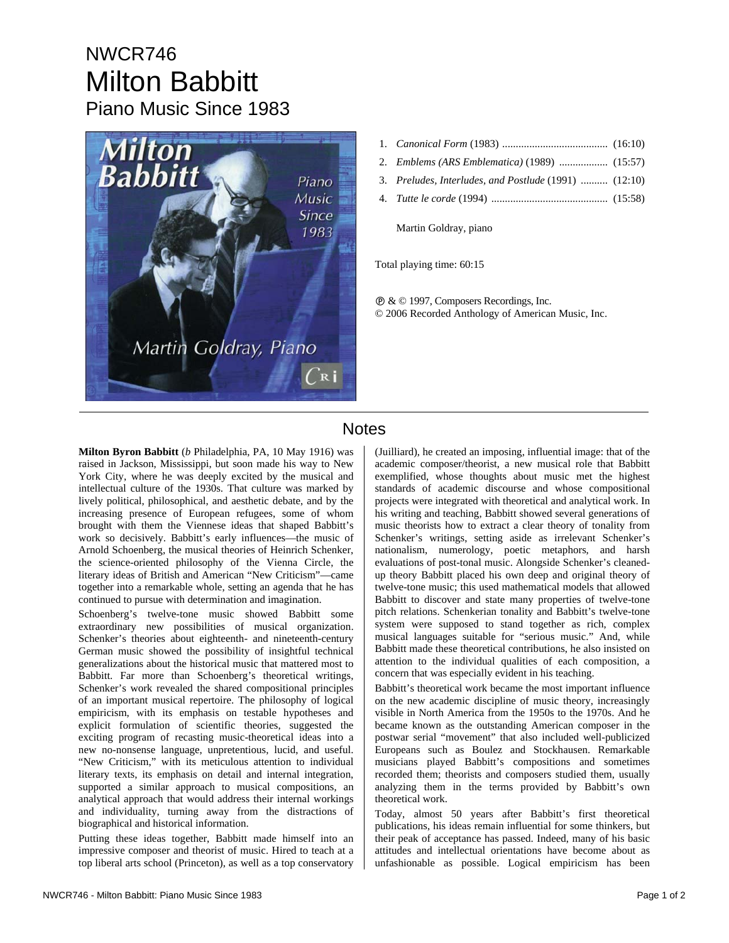## NWCR746 Milton Babbitt Piano Music Since 1983



- 1. *Canonical Form* (1983) ....................................... (16:10)
- 2. *Emblems (ARS Emblematica)* (1989) .................. (15:57)
- 3. *Preludes, Interludes, and Postlude* (1991) .......... (12:10)
- 4. *Tutte le corde* (1994) ........................................... (15:58)

Martin Goldray, piano

Total playing time: 60:15

Ê & © 1997, Composers Recordings, Inc. © 2006 Recorded Anthology of American Music, Inc.

## **Notes**

**Milton Byron Babbitt** (*b* Philadelphia, PA, 10 May 1916) was raised in Jackson, Mississippi, but soon made his way to New York City, where he was deeply excited by the musical and intellectual culture of the 1930s. That culture was marked by lively political, philosophical, and aesthetic debate, and by the increasing presence of European refugees, some of whom brought with them the Viennese ideas that shaped Babbitt's work so decisively. Babbitt's early influences—the music of Arnold Schoenberg, the musical theories of Heinrich Schenker, the science-oriented philosophy of the Vienna Circle, the literary ideas of British and American "New Criticism"—came together into a remarkable whole, setting an agenda that he has continued to pursue with determination and imagination.

Schoenberg's twelve-tone music showed Babbitt some extraordinary new possibilities of musical organization. Schenker's theories about eighteenth- and nineteenth-century German music showed the possibility of insightful technical generalizations about the historical music that mattered most to Babbitt. Far more than Schoenberg's theoretical writings, Schenker's work revealed the shared compositional principles of an important musical repertoire. The philosophy of logical empiricism, with its emphasis on testable hypotheses and explicit formulation of scientific theories, suggested the exciting program of recasting music-theoretical ideas into a new no-nonsense language, unpretentious, lucid, and useful. "New Criticism," with its meticulous attention to individual literary texts, its emphasis on detail and internal integration, supported a similar approach to musical compositions, an analytical approach that would address their internal workings and individuality, turning away from the distractions of biographical and historical information.

Putting these ideas together, Babbitt made himself into an impressive composer and theorist of music. Hired to teach at a top liberal arts school (Princeton), as well as a top conservatory (Juilliard), he created an imposing, influential image: that of the academic composer/theorist, a new musical role that Babbitt exemplified, whose thoughts about music met the highest standards of academic discourse and whose compositional projects were integrated with theoretical and analytical work. In his writing and teaching, Babbitt showed several generations of music theorists how to extract a clear theory of tonality from Schenker's writings, setting aside as irrelevant Schenker's nationalism, numerology, poetic metaphors, and harsh evaluations of post-tonal music. Alongside Schenker's cleanedup theory Babbitt placed his own deep and original theory of twelve-tone music; this used mathematical models that allowed Babbitt to discover and state many properties of twelve-tone pitch relations. Schenkerian tonality and Babbitt's twelve-tone system were supposed to stand together as rich, complex musical languages suitable for "serious music." And, while Babbitt made these theoretical contributions, he also insisted on attention to the individual qualities of each composition, a concern that was especially evident in his teaching.

Babbitt's theoretical work became the most important influence on the new academic discipline of music theory, increasingly visible in North America from the 1950s to the 1970s. And he became known as the outstanding American composer in the postwar serial "movement" that also included well-publicized Europeans such as Boulez and Stockhausen. Remarkable musicians played Babbitt's compositions and sometimes recorded them; theorists and composers studied them, usually analyzing them in the terms provided by Babbitt's own theoretical work.

Today, almost 50 years after Babbitt's first theoretical publications, his ideas remain influential for some thinkers, but their peak of acceptance has passed. Indeed, many of his basic attitudes and intellectual orientations have become about as unfashionable as possible. Logical empiricism has been